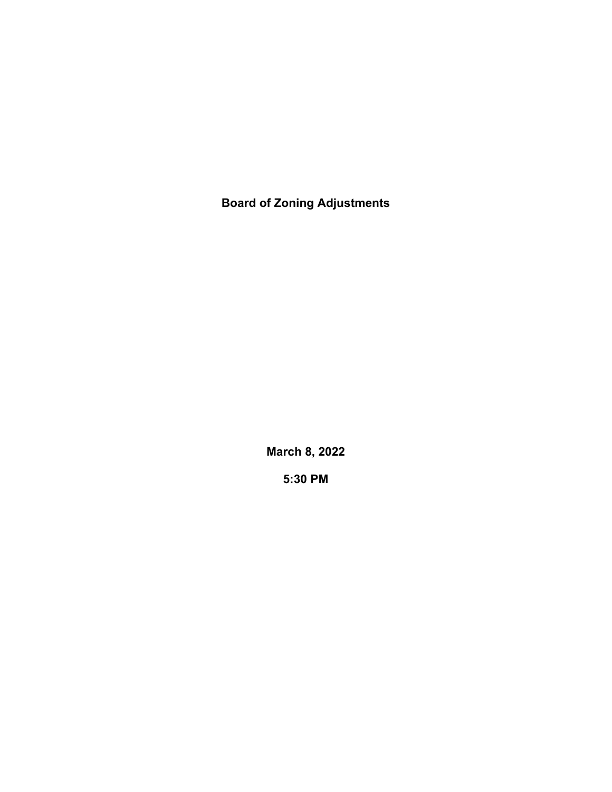**Board of Zoning Adjustments**

**March 8, 2022**

**5:30 PM**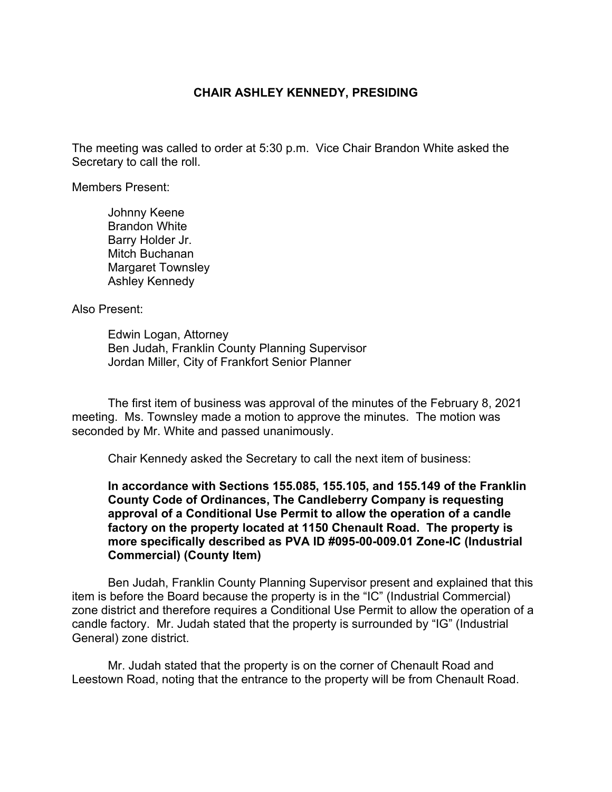## **CHAIR ASHLEY KENNEDY, PRESIDING**

The meeting was called to order at 5:30 p.m. Vice Chair Brandon White asked the Secretary to call the roll.

Members Present:

Johnny Keene Brandon White Barry Holder Jr. Mitch Buchanan Margaret Townsley Ashley Kennedy

Also Present:

Edwin Logan, Attorney Ben Judah, Franklin County Planning Supervisor Jordan Miller, City of Frankfort Senior Planner

The first item of business was approval of the minutes of the February 8, 2021 meeting. Ms. Townsley made a motion to approve the minutes. The motion was seconded by Mr. White and passed unanimously.

Chair Kennedy asked the Secretary to call the next item of business:

**In accordance with Sections 155.085, 155.105, and 155.149 of the Franklin County Code of Ordinances, The Candleberry Company is requesting approval of a Conditional Use Permit to allow the operation of a candle factory on the property located at 1150 Chenault Road. The property is more specifically described as PVA ID #095-00-009.01 Zone-IC (Industrial Commercial) (County Item)**

Ben Judah, Franklin County Planning Supervisor present and explained that this item is before the Board because the property is in the "IC" (Industrial Commercial) zone district and therefore requires a Conditional Use Permit to allow the operation of a candle factory. Mr. Judah stated that the property is surrounded by "IG" (Industrial General) zone district.

Mr. Judah stated that the property is on the corner of Chenault Road and Leestown Road, noting that the entrance to the property will be from Chenault Road.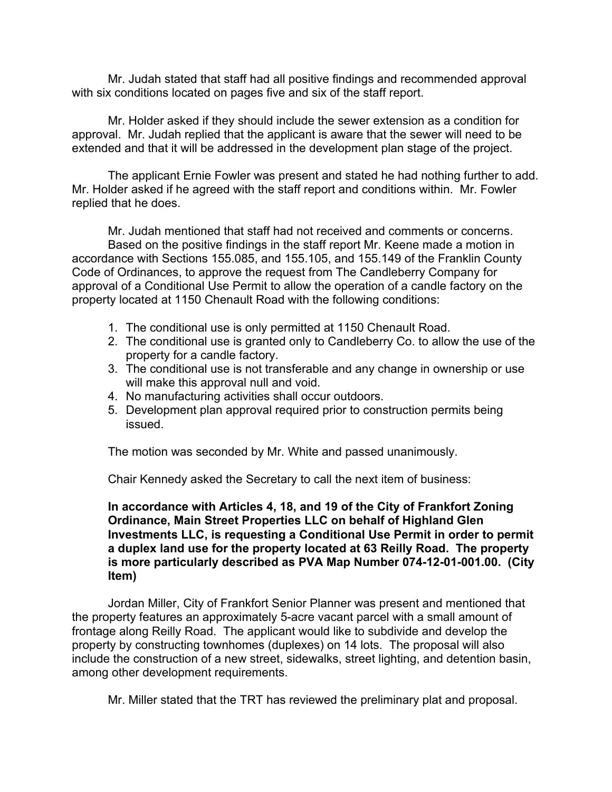Mr. Judah stated that staff had all positive findings and recommended approval with six conditions located on pages five and six of the staff report.

Mr. Holder asked if they should include the sewer extension as a condition for approval. Mr. Judah replied that the applicant is aware that the sewer will need to be extended and that it will be addressed in the development plan stage of the project.

The applicant Ernie Fowler was present and stated he had nothing further to add. Mr. Holder asked if he agreed with the staff report and conditions within. Mr. Fowler replied that he does.

Mr. Judah mentioned that staff had not received and comments or concerns. Based on the positive findings in the staff report Mr. Keene made a motion in accordance with Sections 155.085, and 155.105, and 155.149 of the Franklin County Code of Ordinances, to approve the request from The Candleberry Company for approval of a Conditional Use Permit to allow the operation of a candle factory on the property located at 1150 Chenault Road with the following conditions:

- 1. The conditional use is only permitted at 1150 Chenault Road.
- 2. The conditional use is granted only to Candleberry Co. to allow the use of the property for a candle factory.
- 3. The conditional use is not transferable and any change in ownership or use will make this approval null and void.
- 4. No manufacturing activities shall occur outdoors.
- 5. Development plan approval required prior to construction permits being issued.

The motion was seconded by Mr. White and passed unanimously.

Chair Kennedy asked the Secretary to call the next item of business:

**In accordance with Articles 4, 18, and 19 of the City of Frankfort Zoning Ordinance, Main Street Properties LLC on behalf of Highland Glen Investments LLC, is requesting a Conditional Use Permit in order to permit a duplex land use for the property located at 63 Reilly Road. The property is more particularly described as PVA Map Number 074-12-01-001.00. (City Item)**

Jordan Miller, City of Frankfort Senior Planner was present and mentioned that the property features an approximately 5-acre vacant parcel with a small amount of frontage along Reilly Road. The applicant would like to subdivide and develop the property by constructing townhomes (duplexes) on 14 lots. The proposal will also include the construction of a new street, sidewalks, street lighting, and detention basin, among other development requirements.

Mr. Miller stated that the TRT has reviewed the preliminary plat and proposal.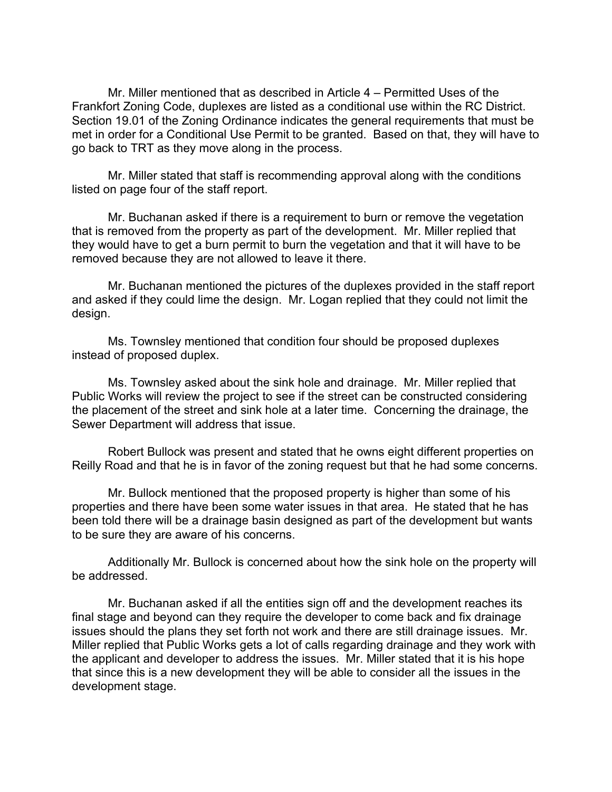Mr. Miller mentioned that as described in Article 4 – Permitted Uses of the Frankfort Zoning Code, duplexes are listed as a conditional use within the RC District. Section 19.01 of the Zoning Ordinance indicates the general requirements that must be met in order for a Conditional Use Permit to be granted. Based on that, they will have to go back to TRT as they move along in the process.

Mr. Miller stated that staff is recommending approval along with the conditions listed on page four of the staff report.

Mr. Buchanan asked if there is a requirement to burn or remove the vegetation that is removed from the property as part of the development. Mr. Miller replied that they would have to get a burn permit to burn the vegetation and that it will have to be removed because they are not allowed to leave it there.

Mr. Buchanan mentioned the pictures of the duplexes provided in the staff report and asked if they could lime the design. Mr. Logan replied that they could not limit the design.

Ms. Townsley mentioned that condition four should be proposed duplexes instead of proposed duplex.

Ms. Townsley asked about the sink hole and drainage. Mr. Miller replied that Public Works will review the project to see if the street can be constructed considering the placement of the street and sink hole at a later time. Concerning the drainage, the Sewer Department will address that issue.

Robert Bullock was present and stated that he owns eight different properties on Reilly Road and that he is in favor of the zoning request but that he had some concerns.

Mr. Bullock mentioned that the proposed property is higher than some of his properties and there have been some water issues in that area. He stated that he has been told there will be a drainage basin designed as part of the development but wants to be sure they are aware of his concerns.

Additionally Mr. Bullock is concerned about how the sink hole on the property will be addressed.

Mr. Buchanan asked if all the entities sign off and the development reaches its final stage and beyond can they require the developer to come back and fix drainage issues should the plans they set forth not work and there are still drainage issues. Mr. Miller replied that Public Works gets a lot of calls regarding drainage and they work with the applicant and developer to address the issues. Mr. Miller stated that it is his hope that since this is a new development they will be able to consider all the issues in the development stage.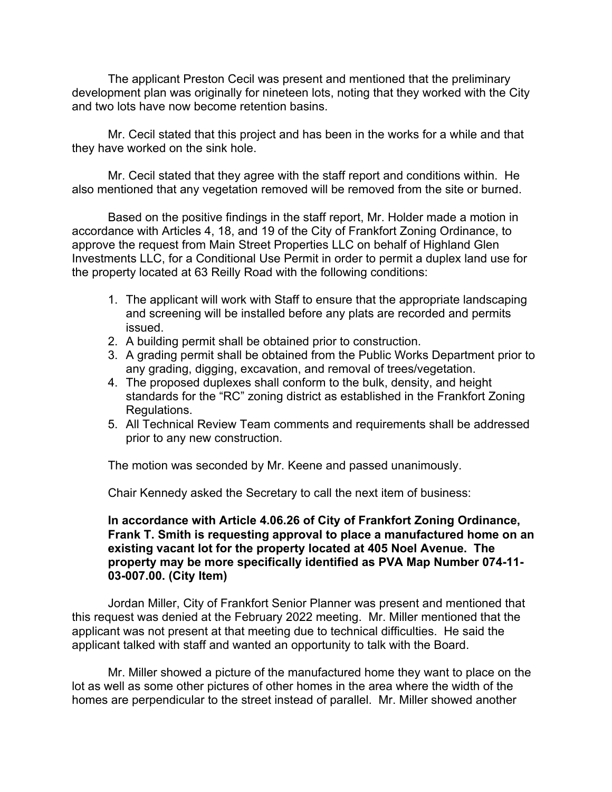The applicant Preston Cecil was present and mentioned that the preliminary development plan was originally for nineteen lots, noting that they worked with the City and two lots have now become retention basins.

Mr. Cecil stated that this project and has been in the works for a while and that they have worked on the sink hole.

Mr. Cecil stated that they agree with the staff report and conditions within. He also mentioned that any vegetation removed will be removed from the site or burned.

Based on the positive findings in the staff report, Mr. Holder made a motion in accordance with Articles 4, 18, and 19 of the City of Frankfort Zoning Ordinance, to approve the request from Main Street Properties LLC on behalf of Highland Glen Investments LLC, for a Conditional Use Permit in order to permit a duplex land use for the property located at 63 Reilly Road with the following conditions:

- 1. The applicant will work with Staff to ensure that the appropriate landscaping and screening will be installed before any plats are recorded and permits issued.
- 2. A building permit shall be obtained prior to construction.
- 3. A grading permit shall be obtained from the Public Works Department prior to any grading, digging, excavation, and removal of trees/vegetation.
- 4. The proposed duplexes shall conform to the bulk, density, and height standards for the "RC" zoning district as established in the Frankfort Zoning Regulations.
- 5. All Technical Review Team comments and requirements shall be addressed prior to any new construction.

The motion was seconded by Mr. Keene and passed unanimously.

Chair Kennedy asked the Secretary to call the next item of business:

## **In accordance with Article 4.06.26 of City of Frankfort Zoning Ordinance, Frank T. Smith is requesting approval to place a manufactured home on an existing vacant lot for the property located at 405 Noel Avenue. The property may be more specifically identified as PVA Map Number 074-11- 03-007.00. (City Item)**

Jordan Miller, City of Frankfort Senior Planner was present and mentioned that this request was denied at the February 2022 meeting. Mr. Miller mentioned that the applicant was not present at that meeting due to technical difficulties. He said the applicant talked with staff and wanted an opportunity to talk with the Board.

Mr. Miller showed a picture of the manufactured home they want to place on the lot as well as some other pictures of other homes in the area where the width of the homes are perpendicular to the street instead of parallel. Mr. Miller showed another